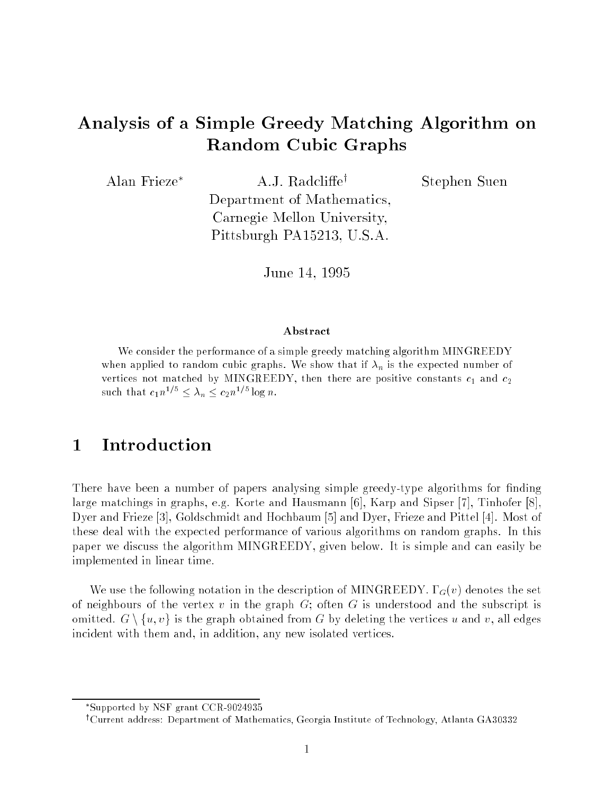# Analysis of a Simple Greedy Matching Algorithm on Random Cubic Graphs

Alan Frieze<sup>\*</sup> A.J. Radcliffe<sup>†</sup>

Stephen Suen

Department of Mathematics, Carnegie Mellon University, Pittsburgh PA15213, U.S.A.

June 14, 1995

#### Abstract

We consider the performance of a simple greedy matching algorithm MINGREEDY when applied to random cubic graphs. We show that if  $\alpha_n$  is the expected number of vertices not matched by MINGREEDY, then there are positive constants c1 and c2 such that  $c_1 n^{1/5} \leq \lambda_n \leq c_2 n^{1/5} \log n$ .

#### **Introduction**  $\mathbf{1}$

There have been a number of papers analysing simple greedy-type algorithms for finding large matchings in graphs, e.g. Korte and Hausmann [6], Karp and Sipser [7], Tinhofer [8], Dyer and Frieze [3], Goldschmidt and Hochbaum [5] and Dyer, Frieze and Pittel [4]. Most of these deal with the expected performance of various algorithms on random graphs. In this paper we discuss the algorithm MINGREEDY, given below. It is simple and can easily be implemented in linear time.

We use the following notation in the description of MINGREEDY.  $\Gamma_G(v)$  denotes the set of neighbours of the vertex v in the graph  $G$ ; often G is understood and the subscript is omitted.  $G \setminus \{u, v\}$  is the graph obtained from G by deleting the vertices u and v, all edges incident with them and, in addition, any new isolated vertices.

Supported by NSF grant CCR-9024935

<sup>&</sup>lt;sup>†</sup>Current address: Department of Mathematics, Georgia Institute of Technology, Atlanta GA30332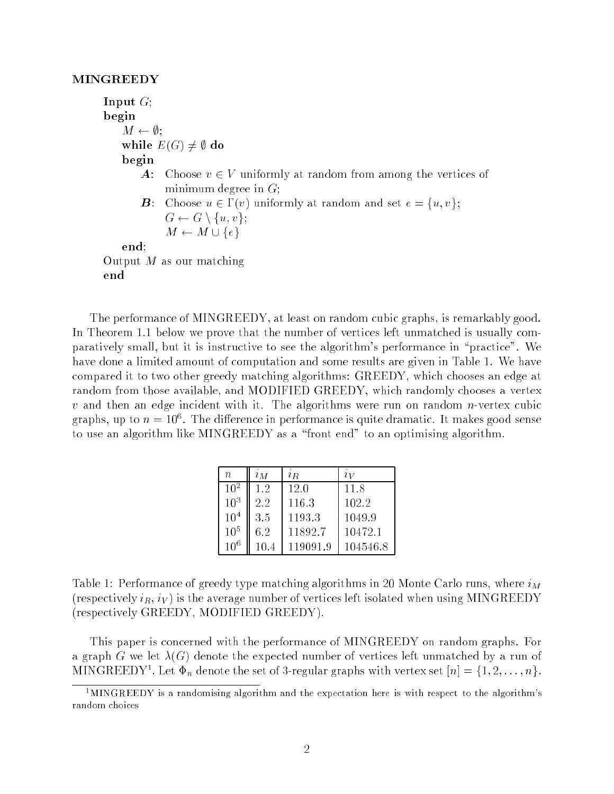#### MINGREEDY

Input  $G$ ; begin  $M \leftarrow \emptyset;$ while  $E(G) \neq \emptyset$  do begin **A**: Choose  $v \in V$  uniformly at random from among the vertices of minimum degree in  $G$ ; **B**: Choose  $u \in \Gamma(v)$  uniformly at random and set  $e = \{u, v\};$  $G \leftarrow G \setminus \{u, v\};$  $M \leftarrow M \cup \{e\}$ end; Output  $M$  as our matching end

The performance of MINGREEDY, at least on random cubic graphs, is remarkably good. In Theorem 1.1 below we prove that the number of vertices left unmatched is usually comparatively small, but it is instructive to see the algorithm's performance in \practice". We have done a limited amount of computation and some results are given in Table 1. We have compared it to two other greedy matching algorithms: GREEDY, which chooses an edge at random from those available, and MODIFIED GREEDY, which randomly chooses a vertex  $v$  and then an edge incident with it. The algorithms were run on random *n*-vertex cubic graphs, up to  $n = 10^{\circ}$ . The difference in performance is quite dramatic. It makes good sense to use an algorithm like MINGREEDY as a "front end" to an optimising algorithm.

| $\eta$          | $\imath_M$ | $i_R$    | $\imath\bar{\nu}$ |
|-----------------|------------|----------|-------------------|
| $10^2$          | 1.2        | 12.0     | 11.8              |
| $10^{3}$        | 2.2        | 116.3    | 102.2             |
| 10 <sup>4</sup> | 3.5        | 1193.3   | 1049.9            |
| $10^{5}$        | 6.2        | 11892.7  | 10472.1           |
| $10^6$          | 10.4       | 119091.9 | 104546.8          |

Table 1: Performance of greedy type matching algorithms in 20 Monte Carlo runs, where  $i_M$ (respectively  $i_R$ ,  $i_V$ ) is the average number of vertices left isolated when using MINGREEDY (respectively GREEDY, MODIFIED GREEDY).

This paper is concerned with the performance of MINGREEDY on random graphs. For a graph G we let  $\lambda(G)$  denote the expected number of vertices left unmatched by a run of MIN GREED Y T. Let  $\Psi_n$  denote the set of 3-regular graphs with vertex set  $[n] = \{1, 2, \ldots, n\}$ .

 $1$ MINGREEDY is a randomising algorithm and the expectation here is with respect to the algorithm's random choices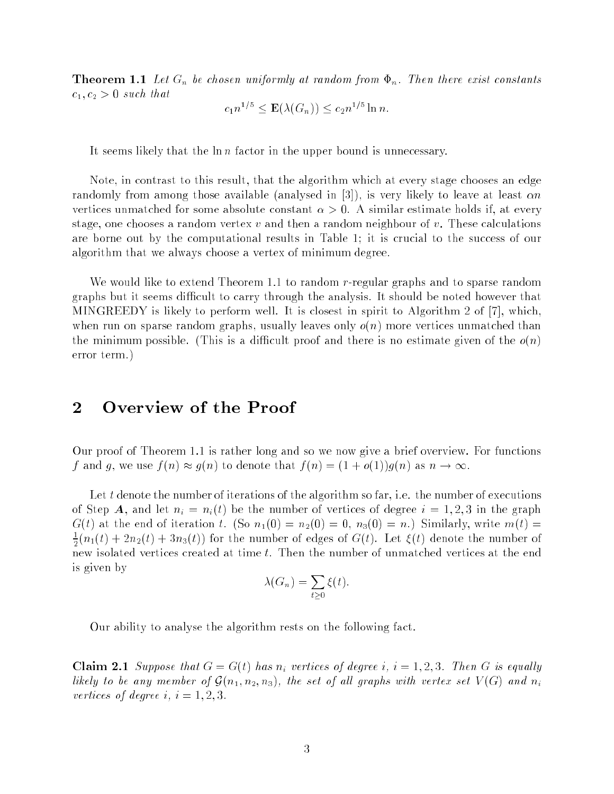**Theorem 1.1** Let  $G_n$  be chosen uniformly at random from  $\Phi_n$ . Then there exist constants  $c_1, c_2 > 0$  such that

$$
c_1 n^{1/5} \le \mathbf{E}(\lambda(G_n)) \le c_2 n^{1/5} \ln n.
$$

It seems likely that the  $\ln n$  factor in the upper bound is unnecessary.

Note, in contrast to this result, that the algorithm which at every stage chooses an edge randomly from among those available (analysed in  $[3]$ ), is very likely to leave at least  $\alpha n$ vertices unmatched for some absolute constant  $\alpha > 0$ . A similar estimate holds if, at every stage, one chooses a random vertex  $v$  and then a random neighbour of  $v$ . These calculations are borne out by the computational results in Table 1; it is crucial to the success of our algorithm that we always choose a vertex of minimum degree.

We would like to extend Theorem 1.1 to random r-regular graphs and to sparse random graphs but it seems difficult to carry through the analysis. It should be noted however that MINGREEDY is likely to perform well. It is closest in spirit to Algorithm 2 of [7], which, when run on sparse random graphs, usually leaves only  $o(n)$  more vertices unmatched than the minimum possible. (This is a difficult proof and there is no estimate given of the  $o(n)$ error term.)

### Overview of the Proof

Our proof of Theorem 1.1 is rather long and so we now give a brief overview. For functions f and g, we use  $f(n) \approx g(n)$  to denote that  $f(n) = (1 + o(1))g(n)$  as  $n \to \infty$ .

Let t denote the number of iterations of the algorithm so far, i.e. the number of executions of Step A, and let  $n_i = n_i(t)$  be the number of vertices of degree  $i = 1, 2, 3$  in the graph  $G(t)$  at the end of iteration t. (So  $n_1(0) = n_2(0) = 0$ ,  $n_3(0) = n$ .) Similarly, write  $m(t) =$  $\frac{1}{2}(n_1(t) + 2n_2(t) + 3n_3(t))$  for the number of edges of G(t). Let  $\zeta(t)$  denote the number of new isolated vertices created at time t. Then the number of unmatched vertices at the end is given by

$$
\lambda(G_n) = \sum_{t \ge 0} \xi(t).
$$

Our ability to analyse the algorithm rests on the following fact.

Claim 2.1 Suppose that  $G = G(t)$  has  $n_i$  vertices of degree i,  $i = 1, 2, 3$ . Then G is equally likely to be any member of  $\mathcal{G}(n_1, n_2, n_3)$ , the set of all graphs with vertex set  $V(G)$  and  $n_i$ vertices of degree i,  $i = 1, 2, 3$ .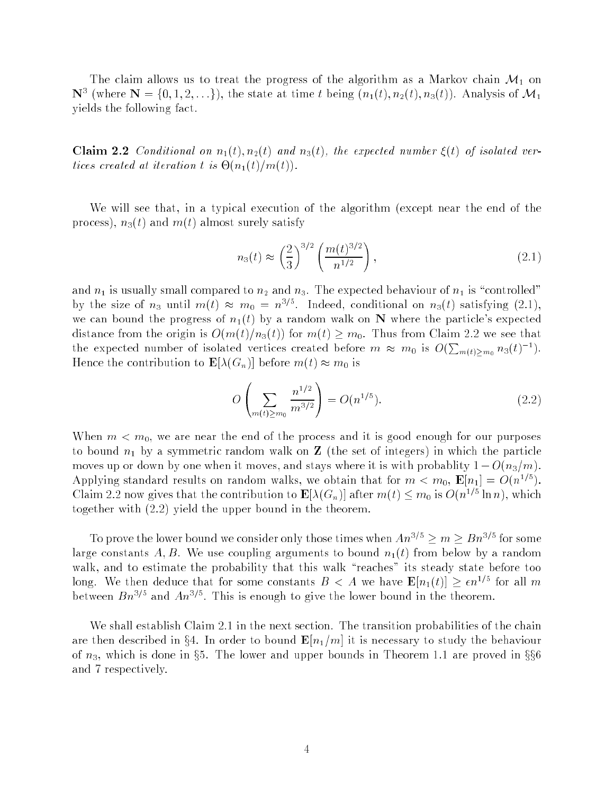The claim allows us to treat the progress of the algorithm as a Markov chain  $\mathcal{M}_1$  on IV (where IV  $=$  {0, 1, 2, . . .}), the state at time t being  $(n_1(t), n_2(t), n_3(t))$ . Analysis of  $\mathcal{M}_1$ yields the following fact.

Claim 2.2 Conditional on  $n_1(t), n_2(t)$  and  $n_3(t)$ , the expected number  $\xi(t)$  of isolated ver- $\tau$  is a iteration that iteration the interval  $\tau$ 

We will see that, in a typical execution of the algorithm (except near the end of the process),  $n_3(t)$  and  $m(t)$  almost surely satisfy

$$
n_3(t) \approx \left(\frac{2}{3}\right)^{3/2} \left(\frac{m(t)^{3/2}}{n^{1/2}}\right),\tag{2.1}
$$

and  $n_1$  is usually small compared to  $n_2$  and  $n_3$ . The expected behaviour of  $n_1$  is "controlled" by the size of  $n_3$  until  $m(t) \approx m_0 = n^{3/5}$ . Indeed, conditional on  $n_3(t)$  satisfying (2.1), we can bound the progress of  $n_1(t)$  by a random walk on N where the particle's expected distance from the origin is  $O(m(t)/n_3(t))$  for  $m(t) \geq m_0$ . Thus from Claim 2.2 we see that the expected number of isolated vertices created before  $m \approx m_0$  is  $O(\sum_{m(t)>m_0} n_3(t)^{-1})$ . Hence the contribution to  $\mathbf{E}[\lambda(G_n)]$  before  $m(t) \approx m_0$  is

$$
O\left(\sum_{m(t)\geq m_0} \frac{n^{1/2}}{m^{3/2}}\right) = O(n^{1/5}).\tag{2.2}
$$

When  $m < m_0$ , we are near the end of the process and it is good enough for our purposes to bound  $n_1$  by a symmetric random walk on **Z** (the set of integers) in which the particle moves up or down by one when it moves, and stays where it is with probablity  $1 - O(n_3/m)$ . Applying standard results on random walks, we obtain that for  $m < m_0$ ,  $\mathbf{E}[n_1] = O(n^{1/5})$ . Claim 2.2 now gives that the contribution to  $\mathbf{E}[\lambda(G_n)]$  after  $m(t) \leq m_0$  is  $O(n^{1/5} \ln n)$ , which together with (2.2) yield the upper bound in the theorem.

To prove the lower bound we consider only those times when  $An^{3/5} \geq m \geq Bn^{3/5}$  for some large constants A, B. We use coupling arguments to bound  $n_1(t)$  from below by a random walk, and to estimate the probability that this walk "reaches" its steady state before too long. We then deduce that for some constants  $B < A$  we have  $\mathbf{E}[n_1(t)] \geq \epsilon n^{1/5}$  for all m between  $Bn^{3/5}$  and  $An^{3/5}$ . This is enough to give the lower bound in the theorem.

We shall establish Claim 2.1 in the next section. The transition probabilities of the chain are then described in §4. In order to bound  $\mathbf{E}[n_1/m]$  it is necessary to study the behaviour of  $n_3$ , which is done in §5. The lower and upper bounds in Theorem 1.1 are proved in  $\S$ §6 and 7 respectively.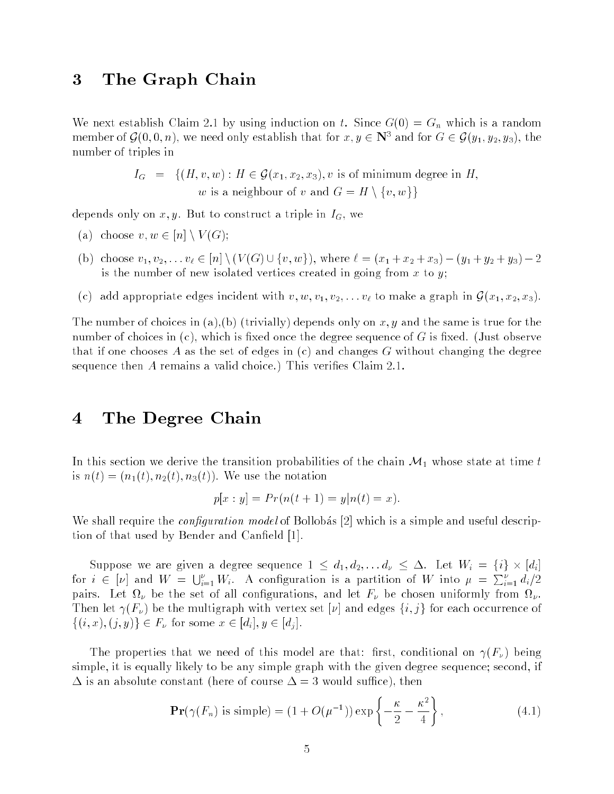### 3 The Graph Chain

We next establish Claim 2.1 by using induction on t. Since  $G(0) = G_n$  which is a random member of  $\mathcal{G}(0,0,n)$ , we need only establish that for  $x,y\in \mathbf{N}^+$  and for  $G\in \mathcal{G}(y_1,y_2,y_3)$ , the number of triples in

$$
I_G = \{ (H, v, w) : H \in \mathcal{G}(x_1, x_2, x_3), v \text{ is of minimum degree in } H, w \text{ is a neighbour of } v \text{ and } G = H \setminus \{v, w\} \}
$$

depends only on  $x, y$ . But to construct a triple in  $I_G$ , we

- (a) choose  $v, w \in [n] \setminus V(G);$
- (b) choose  $v_1, v_2, \ldots v_\ell \in [n] \setminus (V(G) \cup \{v, w\})$ , where  $\ell = (x_1 + x_2 + x_3) (y_1 + y_2 + y_3) 2$ is the number of new isolated vertices created in going from  $x$  to  $y$ ;
- (c) add appropriate edges incident with  $v, w, v_1, v_2, \ldots v_\ell$  to make a graph in  $\mathcal{G}(x_1, x_2, x_3)$ .

The number of choices in (a),(b) (trivially) depends only on x, y and the same is true for the number of choices in  $(c)$ , which is fixed once the degree sequence of G is fixed. (Just observe that if one chooses A as the set of edges in  $(c)$  and changes G without changing the degree sequence then  $A$  remains a valid choice.) This verifies Claim 2.1.

## 4 The Degree Chain

In this section we derive the transition probabilities of the chain  $\mathcal{M}_1$  whose state at time t is  $n(t) = (n_1(t), n_2(t), n_3(t))$ . We use the notation

$$
p[x : y] = Pr(n(t + 1) = y | n(t) = x).
$$

We shall require the *configuration model* of Bollobas  $|2|$  which is a simple and useful description of that used by Bender and Canfield [1].

Suppose we are given a degree sequence  $1 \leq a_1, a_2, \ldots a_{\nu} \leq \Delta$ . Let  $W_i = \{i\} \times [a_i]$ for  $i \in [\nu]$  and  $W = \bigcup_{i=1}^{\nu} W_i$ . A configuration is a partition of W into  $\mu = \sum_{i=1}^{\nu} d_i/2$  $p_{\text{univ}}$ . Let  $\mathfrak{u}_{y}$  be the set of an connegutations, and let  $\mathfrak{u}_{y}$  be chosen uniformly from  $\mathfrak{u}_{y}$ . Then let  $\gamma(F_{\nu})$  be the multigraph with vertex set  $[\nu]$  and edges  $\{i, j\}$  for each occurrence of  $\{(i, x), (j, y)\}\in F_{\nu}$  for some  $x \in [d_i], y \in [d_j]$ .

The properties that we need of this model are that: first, conditional on  $\gamma(F_\nu)$  being simple, it is equally likely to be any simple graph with the given degree sequence; second, if  $\Delta$  is an absolute constant (here of course  $\Delta = 3$  would suffice), then

$$
\mathbf{Pr}(\gamma(F_n) \text{ is simple}) = (1 + O(\mu^{-1})) \exp\left\{-\frac{\kappa}{2} - \frac{\kappa^2}{4}\right\},\tag{4.1}
$$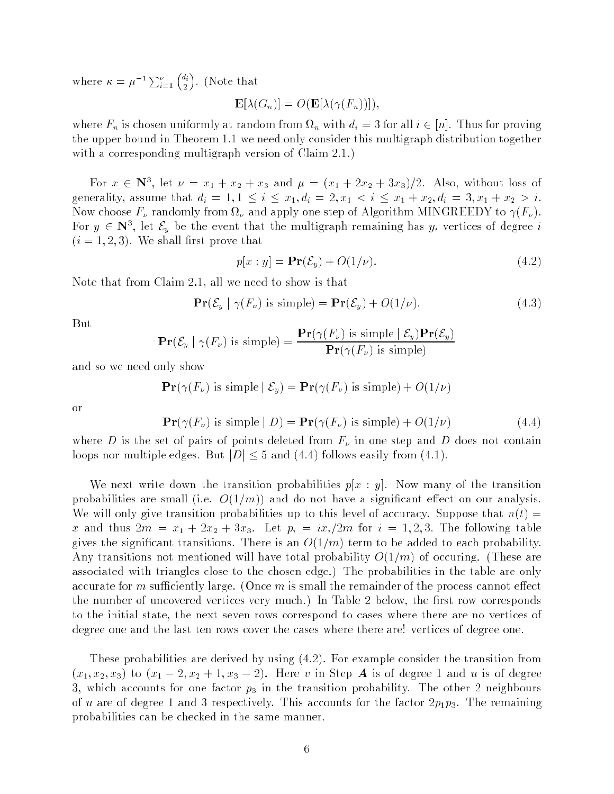where  $\kappa = \mu^{-1} \sum_{i=1}^{\nu} \binom{d_i}{2}$  $\overline{\phantom{a}}$  $\sim$ . (Note that

$$
\mathbf{E}[\lambda(G_n)] = O(\mathbf{E}[\lambda(\gamma(F_n))]),
$$

where  $\Gamma_n$  is chosen uniformly at random from  $\Omega_n$  with  $a_i = 3$  for all  $i \in [n]$ . Thus for proving the upper bound in Theorem 1.1 we need only consider this multigraph distribution together with a corresponding multigraph version of Claim 2.1.)

For  $x \in \mathbb{N}$ ; let  $\nu = x_1 + x_2 + x_3$  and  $\mu = (x_1 + 2x_2 + 3x_3)/2$ . Also, without loss of generality, assume that  $d_i = 1, 1 \le i \le x_1, d_i = 2, x_1 < i \le x_1 + x_2, d_i = 3, x_1 + x_2 > i$ . Now choose  $I$   $\mu$  randomly from st $\mu$  and apply one step of Algorithm MINGREED T to  $\frac{1}{\mu}$ . For  $y \in \mathbb{N}$ ; let  $\mathcal{E}_y$  be the event that the multigraph remaining has  $y_i$  vertices of degree  $i$  $(i = 1, 2, 3)$ . We shall first prove that

$$
p[x:y] = \mathbf{Pr}(\mathcal{E}_y) + O(1/\nu). \tag{4.2}
$$

Note that from Claim 2.1, all we need to show is that

$$
\mathbf{Pr}(\mathcal{E}_y \mid \gamma(F_\nu) \text{ is simple}) = \mathbf{Pr}(\mathcal{E}_y) + O(1/\nu). \tag{4.3}
$$

But

$$
\mathbf{Pr}(\mathcal{E}_y \mid \gamma(F_\nu) \text{ is simple}) = \frac{\mathbf{Pr}(\gamma(F_\nu) \text{ is simple} \mid \mathcal{E}_y)\mathbf{Pr}(\mathcal{E}_y)}{\mathbf{Pr}(\gamma(F_\nu) \text{ is simple})}
$$

and so we need only show

$$
\mathbf{Pr}(\gamma(F_{\nu}) \text{ is simple} \mid \mathcal{E}_{y}) = \mathbf{Pr}(\gamma(F_{\nu}) \text{ is simple}) + O(1/\nu)
$$

or

$$
\mathbf{Pr}(\gamma(F_{\nu}) \text{ is simple} \mid D) = \mathbf{Pr}(\gamma(F_{\nu}) \text{ is simple}) + O(1/\nu) \tag{4.4}
$$

where D is the set of pairs of points deleted from  $F_{\nu}$  in one step and D does not contain loops nor multiple edges. But  $|D| \leq 5$  and (4.4) follows easily from (4.1).

We next write down the transition probabilities  $p[x : y]$ . Now many of the transition probabilities are small (i.e.  $O(1/m)$ ) and do not have a significant effect on our analysis. We will only give transition probabilities up to this level of accuracy. Suppose that  $n(t)$  = x and thus  $2m = x_1 + 2x_2 + 3x_3$ . Let  $p_i = ix_i/2m$  for  $i = 1, 2, 3$ . The following table gives the significant transitions. There is an  $O(1/m)$  term to be added to each probability. Any transitions not mentioned will have total probability  $O(1/m)$  of occuring. (These are associated with triangles close to the chosen edge.) The probabilities in the table are only accurate for m sufficiently large. (Once  $m$  is small the remainder of the process cannot effect the number of uncovered vertices very much.) In Table 2 below, the first row corresponds to the initial state, the next seven rows correspond to cases where there are no vertices of degree one and the last ten rows cover the cases where there are! vertices of degree one.

These probabilities are derived by using (4.2). For example consider the transition from  $(x_1, x_2, x_3)$  to  $(x_1 - 2, x_2 + 1, x_3 - 2)$ . Here v in Step A is of degree 1 and u is of degree 3, which accounts for one factor  $p_3$  in the transition probability. The other 2 neighbours of u are of degree 1 and 3 respectively. This accounts for the factor  $2p_1p_3$ . The remaining probabilities can be checked in the same manner.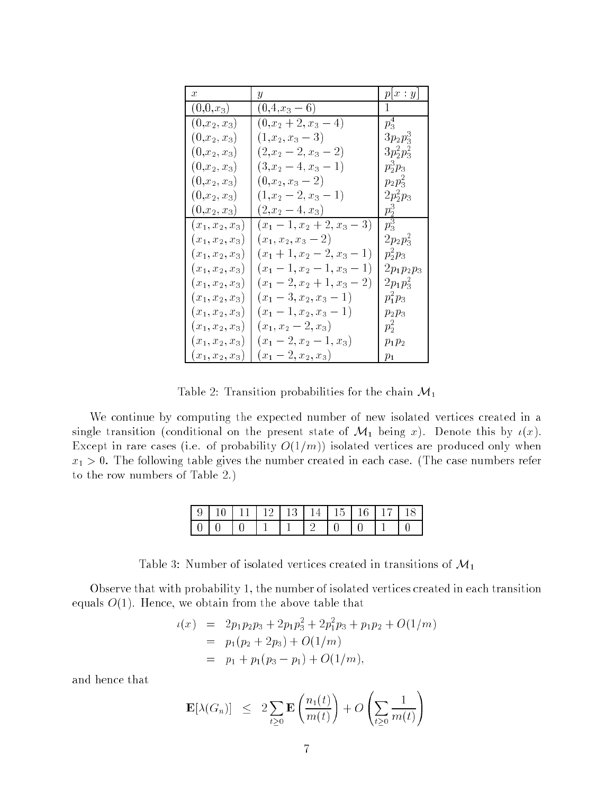| x                 | Y                           | p x:y         |
|-------------------|-----------------------------|---------------|
| $(0,0,x_3)$       | $(0,4,x_3-6)$               |               |
| $(0,x_2,x_3)$     | $(0,x_2+2,x_3-4)$           | $p_3^4$       |
| $(0,x_2,x_3)$     | $(1,x_2,x_3-3)$             | $3p_2p_3^3$   |
| $(0,x_2,x_3)$     | $(2,x_2-2,x_3-2)$           | $3p_2^2p_3^2$ |
| $(0,x_2,x_3)$     | $(3, x_2-4, x_3-1)$         | $p_2^3p_3$    |
| $(0,x_2,x_3)$     | $(0,x_2,x_3-2)$             | $p_2 p_3^2$   |
| $(0,x_2,x_3)$     | $(1, x_2 - 2, x_3 - 1)$     | $2p_2^2p_3$   |
| $(0,x_2,x_3)$     | $(2, x_2-4, x_3)$           | $p_2^3$       |
| $(x_1, x_2, x_3)$ | $(x_1-1, x_2+2, x_3-3)$     | $p_3^3$       |
| $(x_1, x_2, x_3)$ | $(x_1, x_2, x_3 - 2)$       | $2p_2p_3^2$   |
| $(x_1, x_2, x_3)$ | $(x_1+1,x_2-2,x_3-$<br>1)   | $p_2^2 p_3$   |
| $(x_1, x_2, x_3)$ | $(x_1-1, x_2-1, x_3-$<br>1) | $2p_1p_2p_3$  |
| $(x_1, x_2, x_3)$ | $(x_1-2, x_2+1, x_3-2)$     | $2p_1p_3^2$   |
| $(x_1, x_2, x_3)$ | $(x_1-3,x_2,x_3-1)$         | $p_1^2p_3$    |
| $(x_1, x_2, x_3)$ | $(x_1-1,x_2,x_3-$<br>1)     | $p_2p_3$      |
| $(x_1, x_2, x_3)$ | $(x_1, x_2 - 2, x_3)$       | $p_2^2$       |
| $(x_1, x_2, x_3)$ | $(x_1-2, x_2-1, x_3)$       | $p_1p_2$      |
| $(x_1, x_2, x_3)$ | $(x_1-2,x_2,x_3)$           | $p_1$         |

Table 2: Transition probabilities for the chain  $\mathcal{M}_1$ 

We continue by computing the expected number of new isolated vertices created in a single transition (conditional on the present state of  $\mathcal{M}_1$  being x). Denote this by  $\iota(x)$ . Except in rare cases (i.e. of probability  $O(1/m)$ ) isolated vertices are produced only when  $x_1 > 0$ . The following table gives the number created in each case. (The case numbers refer to the row numbers of Table 2.)

|      | $\mid 9 \mid 10 \mid 11 \mid 12 \mid 13 \mid 14 \mid 15 \mid 16 \mid 17 \mid 18$ |          |  |  |  |  |
|------|----------------------------------------------------------------------------------|----------|--|--|--|--|
| 1010 |                                                                                  | $\Box$ 0 |  |  |  |  |

Table 3: Number of isolated vertices created in transitions of  $\mathcal{M}_1$ 

Observe that with probability 1, the number of isolated vertices created in each transition equals  $O(1)$ . Hence, we obtain from the above table that

$$
\iota(x) = 2p_1p_2p_3 + 2p_1p_3^2 + 2p_1^2p_3 + p_1p_2 + O(1/m)
$$
  
=  $p_1(p_2 + 2p_3) + O(1/m)$   
=  $p_1 + p_1(p_3 - p_1) + O(1/m)$ ,

and hence that

$$
\mathbf{E}[\lambda(G_n)] \leq 2 \sum_{t \geq 0} \mathbf{E}\left(\frac{n_1(t)}{m(t)}\right) + O\left(\sum_{t \geq 0} \frac{1}{m(t)}\right)
$$

 $\overline{\phantom{a}}$ 

 $\sim$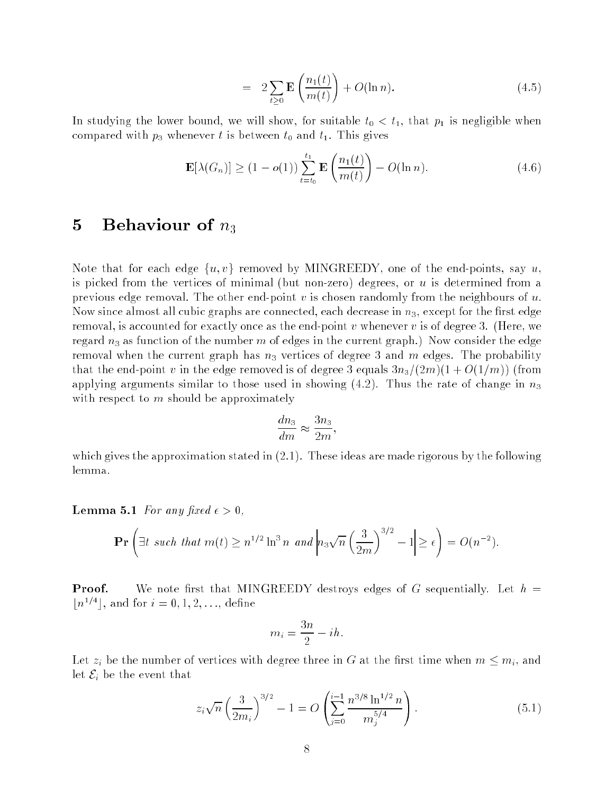$$
= 2\sum_{t\geq 0} \mathbf{E}\left(\frac{n_1(t)}{m(t)}\right) + O(\ln n). \tag{4.5}
$$

In studying the lower bound, we will show, for suitable  $t_0 < t_1$ , that  $p_1$  is negligible when compared with  $p_3$  whenever t is between  $t_0$  and  $t_1$ . This gives

$$
\mathbf{E}[\lambda(G_n)] \ge (1 - o(1)) \sum_{t=t_0}^{t_1} \mathbf{E}\left(\frac{n_1(t)}{m(t)}\right) - O(\ln n). \tag{4.6}
$$

### 5 Behaviour of  $n_3$

Note that for each edge  $\{u, v\}$  removed by MINGREEDY, one of the end-points, say u, is picked from the vertices of minimal (but non-zero) degrees, or  $u$  is determined from a previous edge removal. The other end-point v is chosen randomly from the neighbours of  $u$ . Now since almost all cubic graphs are connected, each decrease in  $n_3$ , except for the first edge removal, is accounted for exactly once as the end-point v whenever v is of degree 3. (Here, we regard  $n_3$  as function of the number m of edges in the current graph.) Now consider the edge removal when the current graph has  $n_3$  vertices of degree 3 and m edges. The probability that the end-point v in the edge removed is of degree 3 equals  $3n_3/(2m)(1 + O(1/m))$  (from applying arguments similar to those used in showing  $(4.2)$ . Thus the rate of change in  $n_3$ with respect to m should be approximately

$$
\frac{dn_3}{dm} \approx \frac{3n_3}{2m},
$$

which gives the approximation stated in  $(2.1)$ . These ideas are made rigorous by the following lemma.

**Lemma 5.1** For any fixed  $\epsilon > 0$ ,

$$
\mathbf{Pr}\left(\exists t \text{ such that } m(t) \ge n^{1/2} \ln^3 n \text{ and } \left|n_3\sqrt{n}\left(\frac{3}{2m}\right)^{3/2} - 1\right| \ge \epsilon\right) = O(n^{-2}).
$$

**Proof.** We note first that MINGREEDY destroys edges of G sequentially. Let  $h =$  $|n^{1/4}|$ , and for  $i = 0, 1, 2, \ldots$ , define

$$
m_i = \frac{3n}{2} - ih
$$

Let  $z_i$  be the number of vertices with degree three in G at the first time when  $m \leq m_i$ , and let  $\mathcal{E}_i$  be the event that

$$
z_i \sqrt{n} \left(\frac{3}{2m_i}\right)^{3/2} - 1 = O\left(\sum_{j=0}^{i-1} \frac{n^{3/8} \ln^{1/2} n}{m_j^{5/4}}\right). \tag{5.1}
$$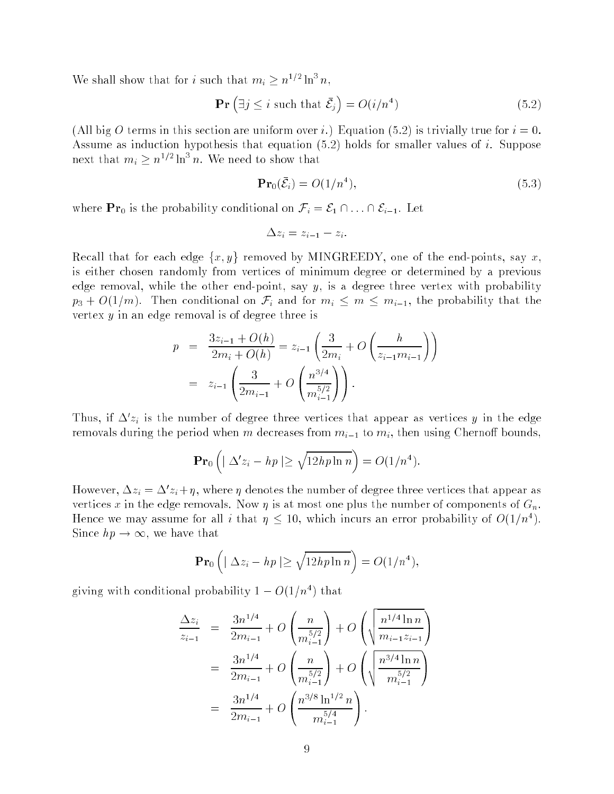We shall show that for *i* such that  $m_i \geq n^{1/2} \ln^3 n$ ,

$$
\mathbf{Pr}\left(\exists j \leq i \text{ such that } \bar{\mathcal{E}}_j\right) = O(i/n^4)
$$
\n(5.2)

(All big O terms in this section are uniform over i.) Equation (5.2) is trivially true for  $i = 0$ . Assume as induction hypothesis that equation  $(5.2)$  holds for smaller values of i. Suppose next that  $m_i \geq n^{1/2} \ln^3 n$ . We need to show that

$$
\mathbf{Pr}_0(\bar{\mathcal{E}}_i) = O(1/n^4),\tag{5.3}
$$

where  $\mathbf{Pr}_0$  is the probability conditional on  $\mathcal{F}_i = \mathcal{E}_1 \cap \ldots \cap \mathcal{E}_{i-1}$ . Let

$$
\Delta z_i = z_{i-1} - z_i.
$$

Recall that for each edge  $\{x, y\}$  removed by MINGREEDY, one of the end-points, say x, is either chosen randomly from vertices of minimum degree or determined by a previous edge removal, while the other end-point, say  $y$ , is a degree three vertex with probability  $p_3 + O(1/m)$ . Then conditional on  $\mathcal{F}_i$  and for  $m_i \leq m \leq m_{i-1}$ , the probability that the vertex  $y$  in an edge removal is of degree three is

$$
p = \frac{3z_{i-1} + O(h)}{2m_i + O(h)} = z_{i-1} \left( \frac{3}{2m_i} + O\left( \frac{h}{z_{i-1}m_{i-1}} \right) \right)
$$
  
=  $z_{i-1} \left( \frac{3}{2m_{i-1}} + O\left( \frac{n^{3/4}}{m_{i-1}^{5/2}} \right) \right).$ 

Thus, if  $\Delta z_i$  is the number of degree three vertices that appear as vertices y in the edge removals during the period when m decreases from  $m_{i-1}$  to  $m_i$ , then using Chernoff bounds,

$$
\mathbf{Pr}_0\left(|\Delta'z_i - hp| \geq \sqrt{12h p \ln n}\right) = O(1/n^4).
$$

However,  $\Delta z_i = \Delta z_i + \eta$ , where  $\eta$  denotes the number of degree three vertices that appear as vertices x in the edge removals. Now  $\eta$  is at most one plus the number of components of  $G_n$ . Hence we may assume for all i that  $\eta \leq 10$ , which incurs an error probability of  $O(1/n^2)$ . Since  $hp \to \infty$ , we have that

$$
\mathbf{Pr}_0\left(|\Delta z_i - hp| \geq \sqrt{12h p \ln n}\right) = O(1/n^4),
$$

giving with conditional probability  $1 - O(1/n^2)$  that

$$
\frac{\Delta z_i}{z_{i-1}} = \frac{3n^{1/4}}{2m_{i-1}} + O\left(\frac{n}{m_{i-1}^{5/2}}\right) + O\left(\sqrt{\frac{n^{1/4}\ln n}{m_{i-1}z_{i-1}}}\right)
$$

$$
= \frac{3n^{1/4}}{2m_{i-1}} + O\left(\frac{n}{m_{i-1}^{5/2}}\right) + O\left(\sqrt{\frac{n^{3/4}\ln n}{m_{i-1}^{5/2}}}\right)
$$

$$
= \frac{3n^{1/4}}{2m_{i-1}} + O\left(\frac{n^{3/8}\ln^{1/2} n}{m_{i-1}^{5/4}}\right).
$$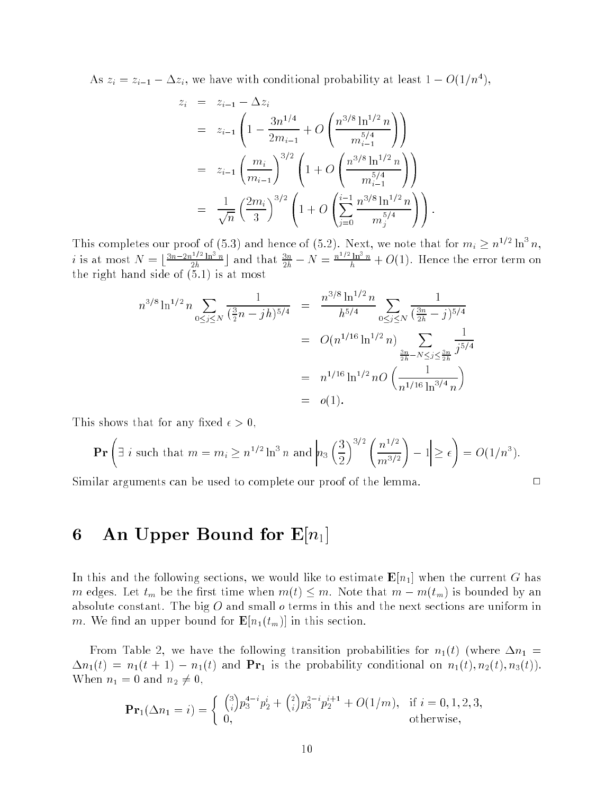As  $z_i = z_{i-1} - \Delta z_i$ , we have with conditional probability at least  $1 - O(1/n^2)$ ,

$$
z_{i} = z_{i-1} - \Delta z_{i}
$$
  
\n
$$
= z_{i-1} \left( 1 - \frac{3n^{1/4}}{2m_{i-1}} + O\left(\frac{n^{3/8} \ln^{1/2} n}{m_{i-1}^{5/4}}\right) \right)
$$
  
\n
$$
= z_{i-1} \left( \frac{m_{i}}{m_{i-1}} \right)^{3/2} \left( 1 + O\left(\frac{n^{3/8} \ln^{1/2} n}{m_{i-1}^{5/4}}\right) \right)
$$
  
\n
$$
= \frac{1}{\sqrt{n}} \left( \frac{2m_{i}}{3} \right)^{3/2} \left( 1 + O\left(\sum_{j=0}^{i-1} \frac{n^{3/8} \ln^{1/2} n}{m_{j}^{5/4}}\right) \right).
$$

This completes our proof of (5.3) and hence of (5.2). Next, we note that for  $m_i \geq n^{1/2} \ln^3 n$ , *i* is at most  $N = \lfloor \frac{3n-2n^{1/2}\ln^3 n}{2h} \rfloor$  and that  $\frac{3n}{2h} - N = \frac{n^{1/2}\ln^3 n}{h} + O(1)$ . Hence the error term on the right finite of  $\mathbf{S}$  is at most  $\mathbf{S}$ 

$$
n^{3/8} \ln^{1/2} n \sum_{0 \le j \le N} \frac{1}{(\frac{3}{2}n - jh)^{5/4}} = \frac{n^{3/8} \ln^{1/2} n}{h^{5/4}} \sum_{0 \le j \le N} \frac{1}{(\frac{3n}{2h} - j)^{5/4}}
$$
  
=  $O(n^{1/16} \ln^{1/2} n) \sum_{\frac{3n}{2h} - N \le j \le \frac{3n}{2h}} \frac{1}{j^{5/4}}$   
=  $n^{1/16} \ln^{1/2} n O\left(\frac{1}{n^{1/16} \ln^{3/4} n}\right)$   
=  $o(1).$ 

This shows that for any fixed  $\epsilon > 0$ ,

$$
\Pr\left(\exists i \text{ such that } m = m_i \ge n^{1/2} \ln^3 n \text{ and } \left| n_3 \left(\frac{3}{2}\right)^{3/2} \left(\frac{n^{1/2}}{m^{3/2}}\right) - 1 \right| \ge \epsilon \right) = O(1/n^3).
$$

Similar arguments can be used to complete our proof of the lemma. <sup>2</sup>

$$
\Box
$$

## 6 An Upper Bound for  $E[n_1]$

In this and the following sections, we would like to estimate  $\mathbf{E}[n_1]$  when the current G has m edges. Let  $t_m$  be the first time when  $m(t) \leq m$ . Note that  $m - m(t_m)$  is bounded by an absolute constant. The big  $O$  and small  $o$  terms in this and the next sections are uniform in m. We find an upper bound for  $\mathbf{E}[n_1(t_m)]$  in this section.

From Table 2, we have the following transition probabilities for  $n_1(t)$  (where  $\Delta n_1$  =  $\Delta n_1(t) = n_1(t+1) - n_1(t)$  and  $\mathbf{Pr}_1$  is the probability conditional on  $n_1(t), n_2(t), n_3(t)$ . When  $n_1 = 0$  and  $n_2 \neq 0$ ,

$$
\mathbf{Pr}_{1}(\Delta n_{1} = i) = \begin{cases} {3 \choose i} p_{3}^{4-i} p_{2}^{i} + {2 \choose i} p_{3}^{2-i} p_{2}^{i+1} + O(1/m), & \text{if } i = 0, 1, 2, 3, \\ 0, & \text{otherwise,} \end{cases}
$$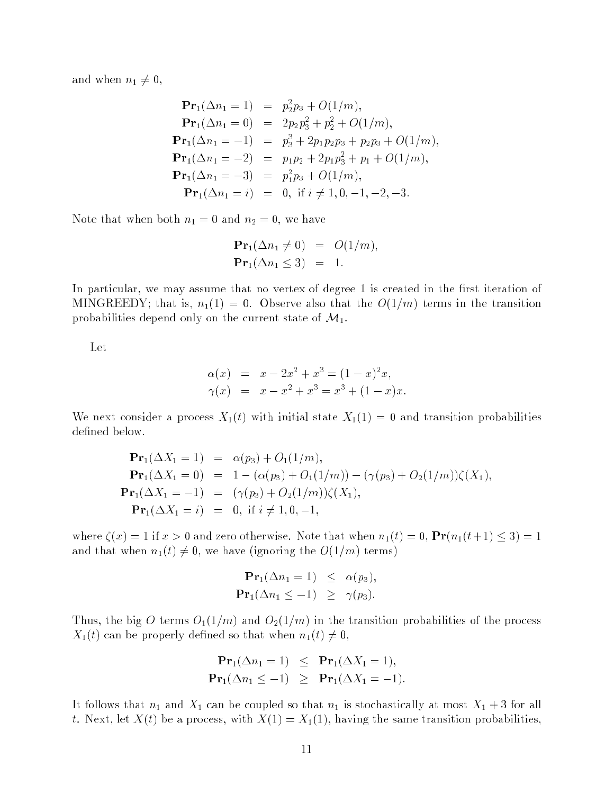and when  $n_1 \neq 0$ ,

$$
\begin{array}{rcl}\n\mathbf{Pr}_1(\Delta n_1 = 1) & = & p_2^2 p_3 + O(1/m), \\
\mathbf{Pr}_1(\Delta n_1 = 0) & = & 2p_2 p_3^2 + p_2^2 + O(1/m), \\
\mathbf{Pr}_1(\Delta n_1 = -1) & = & p_3^3 + 2p_1 p_2 p_3 + p_2 p_3 + O(1/m), \\
\mathbf{Pr}_1(\Delta n_1 = -2) & = & p_1 p_2 + 2p_1 p_3^2 + p_1 + O(1/m), \\
\mathbf{Pr}_1(\Delta n_1 = -3) & = & p_1^2 p_3 + O(1/m), \\
\mathbf{Pr}_1(\Delta n_1 = i) & = & 0, \text{ if } i \neq 1, 0, -1, -2, -3.\n\end{array}
$$

Note that when both  $n_1 = 0$  and  $n_2 = 0$ , we have

$$
\begin{aligned}\n\mathbf{Pr}_1(\Delta n_1 \neq 0) &= O(1/m), \\
\mathbf{Pr}_1(\Delta n_1 \leq 3) &= 1.\n\end{aligned}
$$

In particular, we may assume that no vertex of degree 1 is created in the first iteration of MINGREEDY; that is,  $n_1(1) = 0$ . Observe also that the  $O(1/m)$  terms in the transition probabilities depend only on the current state of  $\mathcal{M}_1$ .

Let

$$
\alpha(x) = x - 2x^2 + x^3 = (1 - x)^2 x,
$$
  
\n
$$
\gamma(x) = x - x^2 + x^3 = x^3 + (1 - x)x.
$$

We next consider a process  $X_1(t)$  with initial state  $X_1(1) = 0$  and transition probabilities defined below.

$$
\begin{aligned}\n\mathbf{Pr}_{1}(\Delta X_{1} = 1) &= \alpha(p_{3}) + O_{1}(1/m), \\
\mathbf{Pr}_{1}(\Delta X_{1} = 0) &= 1 - (\alpha(p_{3}) + O_{1}(1/m)) - (\gamma(p_{3}) + O_{2}(1/m))\zeta(X_{1}), \\
\mathbf{Pr}_{1}(\Delta X_{1} = -1) &= (\gamma(p_{3}) + O_{2}(1/m))\zeta(X_{1}), \\
\mathbf{Pr}_{1}(\Delta X_{1} = i) &= 0, \text{ if } i \neq 1, 0, -1,\n\end{aligned}
$$

where  $\zeta(x) = 1$  if  $x > 0$  and zero otherwise. Note that when  $n_1(t) = 0$ ,  $\Pr(n_1(t+1) \leq 3) = 1$ and that when  $n_1(t) \neq 0$ , we have (ignoring the  $O(1/m)$  terms)

$$
\begin{aligned}\n\mathbf{Pr}_1(\Delta n_1 = 1) &\leq \alpha(p_3), \\
\mathbf{Pr}_1(\Delta n_1 \leq -1) &\geq \gamma(p_3).\n\end{aligned}
$$

Thus, the big O terms  $O_1(1/m)$  and  $O_2(1/m)$  in the transition probabilities of the process  $X_1(t)$  can be properly defined so that when  $n_1(t) \neq 0$ ,

$$
\begin{aligned}\n\mathbf{Pr}_{1}(\Delta n_{1} = 1) &\leq \mathbf{Pr}_{1}(\Delta X_{1} = 1), \\
\mathbf{Pr}_{1}(\Delta n_{1} \leq -1) &\geq \mathbf{Pr}_{1}(\Delta X_{1} = -1).\n\end{aligned}
$$

It follows that  $n_1$  and  $X_1$  can be coupled so that  $n_1$  is stochastically at most  $X_1 + 3$  for all t. Next, let  $X(t)$  be a process, with  $X(1) = X_1(1)$ , having the same transition probabilities,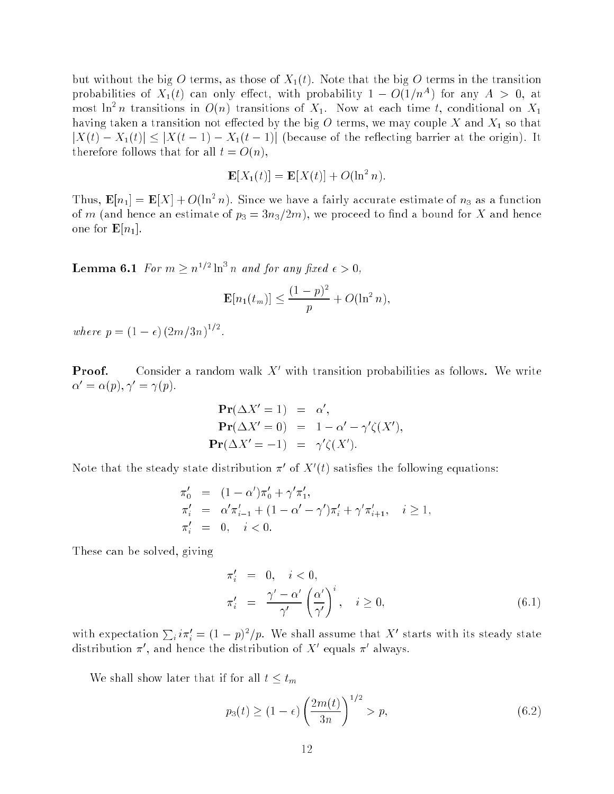but without the big O terms, as those of  $X_1(t)$ . Note that the big O terms in the transition probabilities of  $X_1(t)$  can only effect, with probability  $1 - O(1/n^A)$  for any  $A > 0$ , at most in  $n$  transitions in  $O(n)$  transitions of  $X_1$ . Now at each time t, conditional on  $X_1$ having taken a transition not effected by the big  $O$  terms, we may couple  $X$  and  $X_1$  so that  $|X(t) - X_1(t)| \leq |X(t-1) - X_1(t-1)|$  (because of the reflecting barrier at the origin). It therefore follows that for all  $t = O(n)$ ,

$$
\mathbf{E}[X_1(t)] = \mathbf{E}[X(t)] + O(\ln^2 n).
$$

Thus,  $\mathbf{E}[n_1] = \mathbf{E}[X] + O(\ln^2 n)$ . Since we have a fairly accurate estimate of  $n_3$  as a function of m (and hence an estimate of  $p_3 = 3n_3/2m$ ), we proceed to find a bound for X and hence one for  $\mathbf{E}[n_1]$ .

**Lemma 6.1** For  $m \ge n^{1/2} \ln^3 n$  and for any fixed  $\epsilon > 0$ ,

$$
\mathbf{E}[n_1(t_m)] \le \frac{(1-p)^2}{p} + O(\ln^2 n),
$$

where  $p = (1 - \epsilon) (2m/3n)^{1/2}$ .

**Proof.** Consider a random walk  $\Lambda$  with transition probabilities as follows. We write  $\alpha' = \alpha(p), \gamma' = \gamma(p).$ 

$$
\begin{aligned}\n\mathbf{Pr}(\Delta X' = 1) &= \alpha', \\
\mathbf{Pr}(\Delta X' = 0) &= 1 - \alpha' - \gamma' \zeta(X'), \\
\mathbf{Pr}(\Delta X' = -1) &= \gamma' \zeta(X').\n\end{aligned}
$$

Note that the steady state distribution  $\pi^+$  of  $\Lambda^+(t)$  satisfies the following equations:

$$
\begin{array}{rcl}\n\pi'_0 & = & (1 - \alpha')\pi'_0 + \gamma'\pi'_1, \\
\pi'_i & = & \alpha'\pi'_{i-1} + (1 - \alpha' - \gamma')\pi'_i + \gamma'\pi'_{i+1}, \quad i \ge 1, \\
\pi'_i & = & 0, \quad i < 0.\n\end{array}
$$

These can be solved, giving

$$
\begin{aligned}\n\pi'_i &= 0, \quad i < 0, \\
\pi'_i &= \frac{\gamma' - \alpha'}{\gamma'} \left(\frac{\alpha'}{\gamma'}\right)^i, \quad i \ge 0,\n\end{aligned} \tag{6.1}
$$

with expectation  $\sum_i i\pi'_i = (1-p)^2/p$ . We shall assume that X' starts with its steady state distribution  $\pi$ , and hence the distribution of  $\Lambda$  -equals  $\pi$  always.

We shall show later that if for all  $t \leq t_m$ 

$$
p_3(t) \ge (1 - \epsilon) \left(\frac{2m(t)}{3n}\right)^{1/2} > p,
$$
\n(6.2)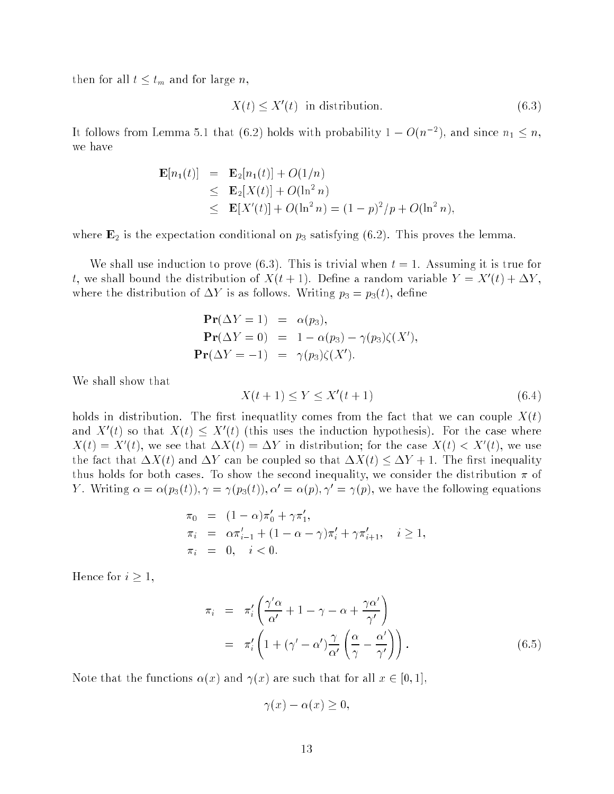then for all  $t \leq t_m$  and for large n,

$$
X(t) \le X'(t) \text{ in distribution.}
$$
\n
$$
(6.3)
$$

It follows from Lemma 5.1 that (6.2) holds with probability  $1 - O(n^{-2})$ , and since  $n_1 \leq n$ , we have

$$
\mathbf{E}[n_1(t)] = \mathbf{E}_2[n_1(t)] + O(1/n)
$$
  
\n
$$
\leq \mathbf{E}_2[X(t)] + O(\ln^2 n)
$$
  
\n
$$
\leq \mathbf{E}[X'(t)] + O(\ln^2 n) = (1 - p)^2/p + O(\ln^2 n),
$$

where  $\mathbf{E}_2$  is the expectation conditional on  $p_3$  satisfying (6.2). This proves the lemma.

We shall use induction to prove  $(6.3)$ . This is trivial when  $t = 1$ . Assuming it is true for t, we shall bound the distribution of  $A$  (t  $+$  1). Define a random variable  $Y = A$  (t)  $+$   $\Delta Y$  , where the distribution of  $\Delta Y$  is as follows. Writing  $p_3 = p_3(t)$ , define

$$
\begin{aligned}\n\mathbf{Pr}(\Delta Y = 1) &= \alpha(p_3), \\
\mathbf{Pr}(\Delta Y = 0) &= 1 - \alpha(p_3) - \gamma(p_3)\zeta(X'), \\
\mathbf{Pr}(\Delta Y = -1) &= \gamma(p_3)\zeta(X').\n\end{aligned}
$$

We shall show that

$$
X(t+1) \le Y \le X'(t+1) \tag{6.4}
$$

holds in distribution. The first inequatiity comes from the fact that we can couple  $X(t)$ and  $\Lambda$  (t) so that  $\Lambda$ (t)  $\leq \Lambda$  (t) (this uses the induction hypothesis). For the case where  $\Lambda(t) \equiv \Lambda(t)$ , we see that  $\Delta \Lambda(t) \equiv \Delta T$  in distribution; for the case  $\Lambda(t) \leq \Lambda(t)$ , we use the fact that  $\Delta X(t)$  and  $\Delta Y$  can be coupled so that  $\Delta X(t) \leq \Delta Y + 1$ . The first inequality thus holds for both cases. To show the second inequality, we consider the distribution  $\pi$  of Y. Writing  $\alpha = \alpha(p_3(t)), \gamma = \gamma(p_3(t)), \alpha' = \alpha(p), \gamma' = \gamma(p)$ , we have the following equations

$$
\begin{array}{rcl}\n\pi_0 & = & (1 - \alpha)\pi_0' + \gamma \pi_1', \\
\pi_i & = & \alpha \pi_{i-1}' + (1 - \alpha - \gamma)\pi_i' + \gamma \pi_{i+1}', \quad i \ge 1, \\
\pi_i & = & 0, \quad i < 0.\n\end{array}
$$

Hence for  $i \geq 1$ ,

$$
\pi_i = \pi_i' \left( \frac{\gamma' \alpha}{\alpha'} + 1 - \gamma - \alpha + \frac{\gamma \alpha'}{\gamma'} \right)
$$
  
= 
$$
\pi_i' \left( 1 + (\gamma' - \alpha') \frac{\gamma}{\alpha'} \left( \frac{\alpha}{\gamma} - \frac{\alpha'}{\gamma'} \right) \right).
$$
 (6.5)

Note that the functions  $\alpha(x)$  and  $\gamma(x)$  are such that for all  $x \in [0,1],$ 

$$
\gamma(x) - \alpha(x) \ge 0,
$$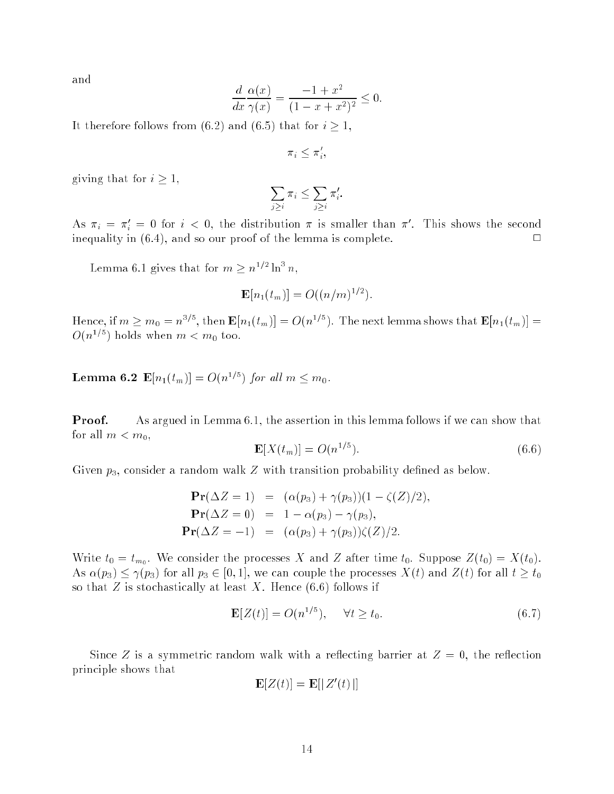and

$$
\frac{d}{dx}\frac{\alpha(x)}{\gamma(x)} = \frac{-1 + x^2}{(1 - x + x^2)^2} \le 0.
$$

It therefore follows from (6.2) and (6.5) that for  $i \geq 1$ ,

 $\pi_i \leq \pi_i$ 

giving that for  $i \geq 1$ ,

$$
\sum_{j\geq i}\pi_i\leq \sum_{j\geq i}\pi'_i
$$

As  $\pi_i = \pi_j = 0$  for  $i < 0$ , the distribution  $\pi$  is smaller than  $\pi$ . This shows the second inequality in  $(6.4)$ , and so our proof of the lemma is complete.

Lemma 6.1 gives that for  $m \geq n^{1/2} \ln^3 n$ ,

$$
\mathbf{E}[n_1(t_m)] = O((n/m)^{1/2}).
$$

Hence, if  $m \ge m_0 = n^{3/5}$ , then  $\mathbf{E}[n_1(t_m)] = O(n^{1/5})$ . The next lemma shows that  $\mathbf{E}[n_1(t_m)] =$  $O(n^{1/5})$  holds when  $m < m_0$  too.

**Lemma 6.2**  $\mathbf{E}[n_1(t_m)] = O(n^{1/5})$  for all  $m \leq m_0$ .

**Proof.** As argued in Lemma 6.1, the assertion in this lemma follows if we can show that for all  $m < m_0$ ,

$$
\mathbf{E}[X(t_m)] = O(n^{1/5}).\tag{6.6}
$$

Given  $p_3$ , consider a random walk Z with transition probability defined as below.

$$
\begin{aligned}\n\mathbf{Pr}(\Delta Z = 1) &= (\alpha(p_3) + \gamma(p_3))(1 - \zeta(Z)/2), \\
\mathbf{Pr}(\Delta Z = 0) &= 1 - \alpha(p_3) - \gamma(p_3), \\
\mathbf{Pr}(\Delta Z = -1) &= (\alpha(p_3) + \gamma(p_3))\zeta(Z)/2.\n\end{aligned}
$$

Write  $t_0 = t_{m_0}$ . We consider the processes  $\lambda \mathbf{r}$  and  $\boldsymbol{\Sigma}$  after time  $t_0$ . Suppose  $\boldsymbol{\Sigma}(t_0) = \lambda \mathbf{r}(t_0)$ . As  $\alpha(p_3) \leq \gamma(p_3)$  for all  $p_3 \in [0, 1]$ , we can couple the processes  $X(t)$  and  $Z(t)$  for all  $t \geq t_0$ so that  $Z$  is stochastically at least  $X$ . Hence  $(6.6)$  follows if

$$
\mathbf{E}[Z(t)] = O(n^{1/5}), \quad \forall t \ge t_0. \tag{6.7}
$$

Since Z is a symmetric random walk with a reflecting barrier at  $Z = 0$ , the reflection principle shows that

$$
\mathbf{E}[Z(t)] = \mathbf{E}[|Z'(t)|]
$$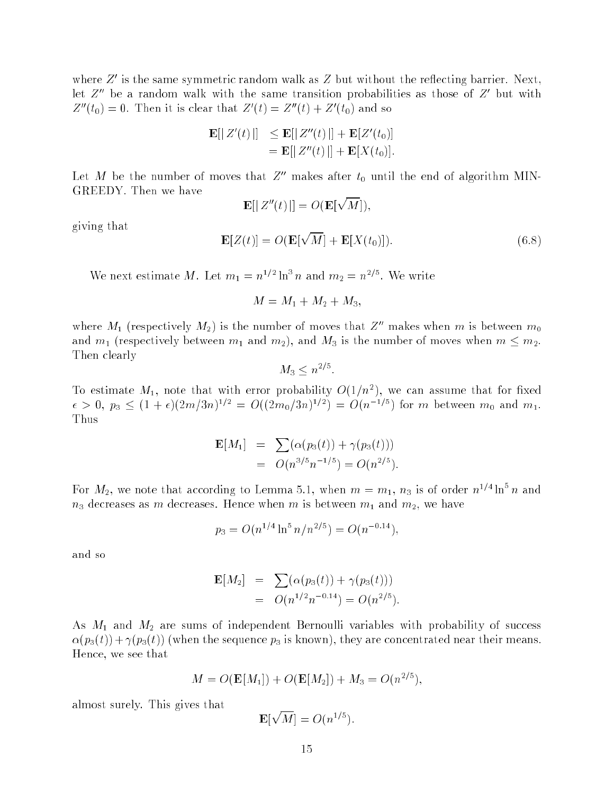where  $Z$  is the same symmetric random walk as  $Z$  but without the renecting barrier. Next, let  $Z$  be a random walk with the same transition probabilities as those of  $Z$  but with  $Z_{0}(t_{0}) = 0$ . Then it is clear that  $Z_{0}(t) = Z_{0}(t) + Z_{0}(t_{0})$  and so

$$
\mathbf{E}[|Z'(t)|] \le \mathbf{E}[|Z''(t)|] + \mathbf{E}[Z'(t_0)]
$$
  
=  $\mathbf{E}[|Z''(t)|] + \mathbf{E}[X(t_0)].$ 

Let M be the number of moves that  $Z''$  makes after  $t_0$  until the end of algorithm MIN-GREEDY. Then we have

$$
\mathbf{E}[|Z''(t)|] = O(\mathbf{E}[\sqrt{M}]),
$$

 $\mathcal{L} = \{x_i \mid i \in \mathbb{N} \mid i \in \mathbb{N} \mid i \in \mathbb{N} \mid i \in \mathbb{N} \}$ 

p

giving that

We next estimate M. Let  $m_1 = n^{1/2} \ln^3 n$  and  $m_2 = n^{2/5}$ . We write

$$
M = M_1 + M_2 + M_3,
$$

where  $M_1$  (respectively  $M_2$ ) is the number of moves that  $Z''$  makes when m is between  $m_0$ and  $m_1$  (respectively between  $m_1$  and  $m_2$ ), and  $M_3$  is the number of moves when  $m \leq m_2$ . Then clearly

$$
M_3 \leq n^{2/5}.
$$

To estimate  $M_1$ , note that with error probability  $O(1/n^2)$ , we can assume that for fixed  $\epsilon > 0$ ,  $p_3 \leq (1+\epsilon)(2m/3n)^{1/2} = O((2m_0/3n)^{1/2}) = O(n^{-1/5})$  for m between  $m_0$  and  $m_1$ . Thus

$$
\mathbf{E}[M_1] = \sum (\alpha(p_3(t)) + \gamma(p_3(t)))
$$
  
=  $O(n^{3/5}n^{-1/5}) = O(n^{2/5}).$ 

For  $M_2$ , we note that according to Lemma 5.1, when  $m = m_1$ ,  $n_3$  is of order  $n^{1/4} \ln^5 n$  and  $n_3$  decreases as m decreases. Hence when m is between  $m_1$  and  $m_2$ , we have

$$
p_3 = O(n^{1/4} \ln^5 n/n^{2/5}) = O(n^{-0.14}),
$$

and so

$$
\mathbf{E}[M_2] = \sum (\alpha(p_3(t)) + \gamma(p_3(t)))
$$
  
=  $O(n^{1/2}n^{-0.14}) = O(n^{2/5}).$ 

As  $M_1$  and  $M_2$  are sums of independent Bernoulli variables with probability of success  $\alpha(p_3(t)) + \gamma(p_3(t))$  (when the sequence  $p_3$  is known), they are concentrated near their means. Hence, we see that

$$
M = O(\mathbf{E}[M_1]) + O(\mathbf{E}[M_2]) + M_3 = O(n^{2/5}),
$$

almost surely. This gives that

$$
\mathbf{E}[\sqrt{M}] = O(n^{1/5}).
$$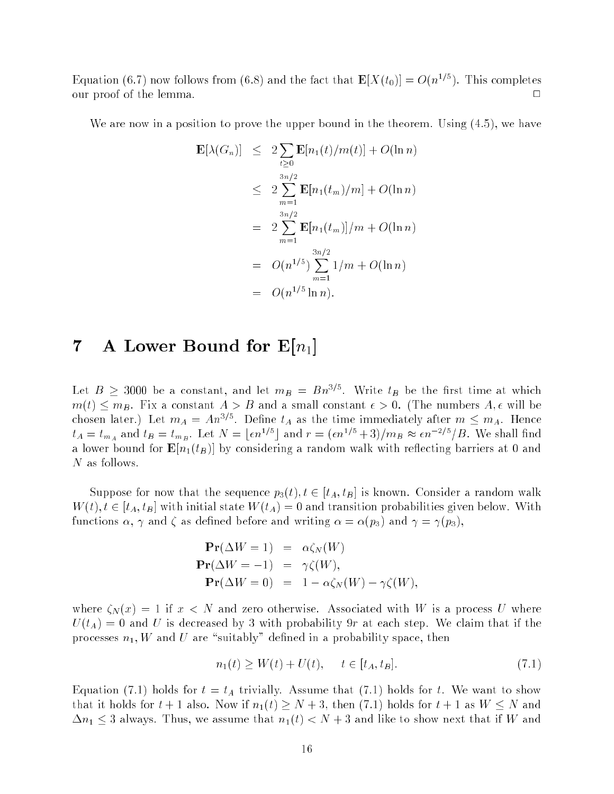Equation (6.7) now follows from (6.8) and the fact that  $\mathbf{E}[X(t_0)] = O(n^{1/5})$ . This completes our proof of the lemma.  $\Box$ 

We are now in a position to prove the upper bound in the theorem. Using  $(4.5)$ , we have

$$
\mathbf{E}[\lambda(G_n)] \leq 2 \sum_{t \geq 0} \mathbf{E}[n_1(t)/m(t)] + O(\ln n)
$$
  
\n
$$
\leq 2 \sum_{m=1}^{3n/2} \mathbf{E}[n_1(t_m)/m] + O(\ln n)
$$
  
\n
$$
= 2 \sum_{m=1}^{3n/2} \mathbf{E}[n_1(t_m)]/m + O(\ln n)
$$
  
\n
$$
= O(n^{1/5}) \sum_{m=1}^{3n/2} 1/m + O(\ln n)
$$
  
\n
$$
= O(n^{1/5} \ln n).
$$

#### **7** A Lower Bound for  $E[n_1]$

Let  $B \geq 3000$  be a constant, and let  $m_B = B n^{3/5}$ . Write  $t_B$  be the first time at which  $m(t) \leq m_B$ . Fix a constant  $A > B$  and a small constant  $\epsilon > 0$ . (The numbers  $A, \epsilon$  will be chosen later.) Let  $m_A = An^{3/5}$ . Define  $t_A$  as the time immediately after  $m \leq m_A$ . Hence  $t_A = t_{m_A}$  and  $t_B = t_{m_B}$ . Let  $N = \lfloor \epsilon n^{1/5} \rfloor$  and  $r = (\epsilon n^{1/5} + 3)/m_B \approx \epsilon n^{-2/5}/B$ . We shall find a lower bound for  $\mathbf{E}[n_1(t)B]$  by considering a random walk with reflecting barriers at 0 and N as follows.

Suppose for now that the sequence  $p_3(t)$ ,  $t \in [t_A, t_B]$  is known. Consider a random walk  $W(t)$ ,  $t \in [t_A, t_B]$  with initial state  $W(t_A) = 0$  and transition probabilities given below. With functions  $\alpha$ ,  $\gamma$  and  $\zeta$  as defined before and writing  $\alpha = \alpha(p_3)$  and  $\gamma = \gamma(p_3)$ ,

$$
\begin{aligned}\n\mathbf{Pr}(\Delta W = 1) &= \alpha \zeta_N(W) \\
\mathbf{Pr}(\Delta W = -1) &= \gamma \zeta(W), \\
\mathbf{Pr}(\Delta W = 0) &= 1 - \alpha \zeta_N(W) - \gamma \zeta(W),\n\end{aligned}
$$

where  $\zeta_N (x) = 1$  if  $x < N$  and zero otherwise. Associated with W is a process U where  $U(t_A) = 0$  and U is decreased by 3 with probability 9r at each step. We claim that if the processes  $n_1, W$  and U are "suitably" defined in a probability space, then

$$
n_1(t) \ge W(t) + U(t), \quad t \in [t_A, t_B]. \tag{7.1}
$$

Equation (7.1) holds for  $t = t_A$  trivially. Assume that (7.1) holds for t. We want to show that it holds for  $t + 1$  also. Now if  $n_1(t) \geq N + 3$ , then (7.1) holds for  $t + 1$  as  $W \leq N$  and  $\Delta n_1 \leq 3$  always. Thus, we assume that  $n_1(t) < N + 3$  and like to show next that if W and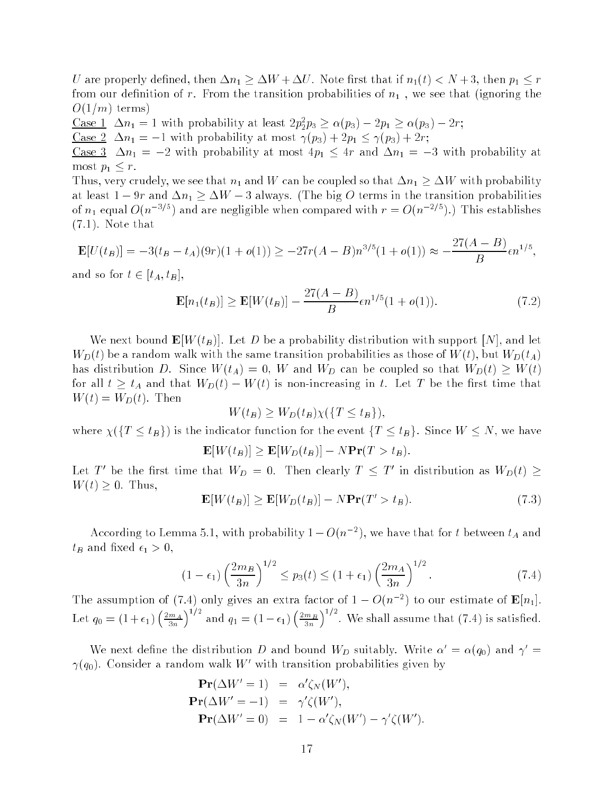U are properly defined, then  $\Delta n_1 \geq \Delta W + \Delta U$ . Note first that if  $n_1(t) < N + 3$ , then  $p_1 \leq r$ from our definition of r. From the transition probabilities of  $n_1$ , we see that (ignoring the  $O(1/m)$  terms)

Case  $1 \Delta n_1 = 1$  with probability at least  $2p_2^2p_3 \geq \alpha(p_3) - 2p_1 \geq \alpha(p_3) - 2r;$ 

<u>Case 2</u>  $\Delta n_1 = -1$  with probability at most  $\gamma(p_3) + 2p_1 \leq \gamma(p_3) + 2r$ ;

<u>Case 3</u>  $\Delta n_1 = -2$  with probability at most  $4p_1 \leq 4r$  and  $\Delta n_1 = -3$  with probability at most  $p_1 \leq r$ .

Thus, very crudely, we see that  $n_1$  and W can be coupled so that  $\Delta n_1 \geq \Delta W$  with probability at least  $1 - 9r$  and  $\Delta n_1 \ge \Delta W - 3$  always. (The big O terms in the transition probabilities of  $n_1$  equal  $O(n^{-3/5})$  and are negligible when compared with  $r = O(n^{-2/5})$ .) This establishes (7.1). Note that

$$
\mathbf{E}[U(t_B)] = -3(t_B - t_A)(9r)(1 + o(1)) \ge -27r(A - B)n^{3/5}(1 + o(1)) \approx -\frac{27(A - B)}{B}\epsilon n^{1/5},
$$

and so for  $t \in [t_A, t_B],$ 

$$
\mathbf{E}[n_1(t_B)] \ge \mathbf{E}[W(t_B)] - \frac{27(A-B)}{B} \epsilon n^{1/5} (1 + o(1)). \tag{7.2}
$$

We next bound  $\mathbf{E}[W(t_B)]$ . Let D be a probability distribution with support  $[N]$ , and let  $W_D(t)$  be a random walk with the same transition probabilities as those of  $W(t)$ , but  $W_D(t_A)$ has distribution D. Since  $W(t_A) = 0$ , W and  $W_D$  can be coupled so that  $W_D(t) \geq W(t)$ for all  $t \geq t_A$  and that  $W_D(t) - W(t)$  is non-increasing in t. Let T be the first time that  $W(t) = W_D(t)$ . Then

$$
W(t_B) \ge W_D(t_B) \chi(\{T \le t_B\}),
$$

where  $\chi(\lbrace T \leq t_B \rbrace)$  is the indicator function for the event  $\lbrace T \leq t_B \rbrace$ . Since  $W \leq N$ , we have

$$
\mathbf{E}[W(t_B)] \ge \mathbf{E}[W_D(t_B)] - N \mathbf{Pr}(T > t_B).
$$

Let T be the first time that  $W_D = 0$ . Then clearly  $T \geq T$  in distribution as  $W_D(t) \geq$  $W(t) \geq 0$ . Thus,

$$
\mathbf{E}[W(t_B)] \ge \mathbf{E}[W_D(t_B)] - N \mathbf{Pr}(T' > t_B). \tag{7.3}
$$

According to Lemma 5.1, with probability  $1 - O(n-1)$ , we have that for t between  $t_A$  and  $t_B$  and fixed  $\epsilon_1 > 0$ ,

$$
(1 - \epsilon_1) \left(\frac{2m_B}{3n}\right)^{1/2} \le p_3(t) \le (1 + \epsilon_1) \left(\frac{2m_A}{3n}\right)^{1/2}.
$$
 (7.4)

The assumption of (7.4) only gives an extra factor of  $1-O(n^{-2})$  to our estimate of  ${\bf E}[n_1]$ .  $\overline{\phantom{a}}$  $\left(\frac{2m_A}{3n}\right)$  $\sqrt{1/2}$ and q1 = (11)  $\left(\frac{2m_B}{3n}\right)$  $\int^{1/2}$ . We shall assume that (7.4) is satisfied.

We next define the distribution D and bound  $W_D$  suitably. Write  $\alpha' = \alpha(q_0)$  and  $\gamma' =$  $\gamma(q_0)$ . Consider a random walk  $W$  with transition probabilities given by

$$
\begin{aligned}\n\mathbf{Pr}(\Delta W' = 1) &= \alpha' \zeta_N(W'), \\
\mathbf{Pr}(\Delta W' = -1) &= \gamma' \zeta(W'), \\
\mathbf{Pr}(\Delta W' = 0) &= 1 - \alpha' \zeta_N(W') - \gamma' \zeta(W').\n\end{aligned}
$$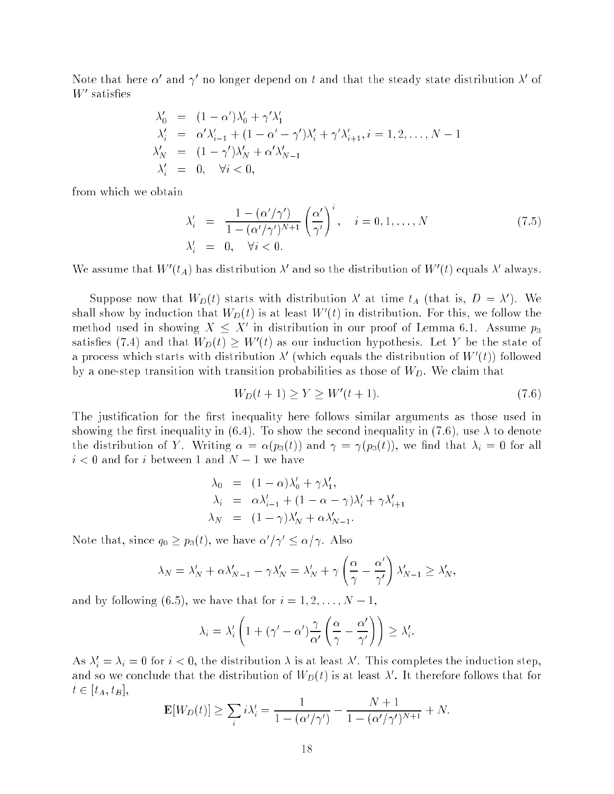Note that here  $\alpha$  and  $\gamma$  -no longer depend on  $\iota$  and that the steady state distribution  $\lambda$  -or *W* satisfies

$$
\lambda'_0 = (1 - \alpha')\lambda'_0 + \gamma'\lambda'_1
$$
  
\n
$$
\lambda'_i = \alpha'\lambda'_{i-1} + (1 - \alpha' - \gamma')\lambda'_i + \gamma'\lambda'_{i+1}, i = 1, 2, \dots, N - 1
$$
  
\n
$$
\lambda'_N = (1 - \gamma')\lambda'_N + \alpha'\lambda'_{N-1}
$$
  
\n
$$
\lambda'_i = 0, \quad \forall i < 0,
$$

from which we obtain

$$
\lambda'_i = \frac{1 - (\alpha'/\gamma')}{1 - (\alpha'/\gamma')^{N+1}} \left(\frac{\alpha'}{\gamma'}\right)^i, \quad i = 0, 1, \dots, N
$$
\n
$$
\lambda'_i = 0, \quad \forall i < 0.
$$
\n
$$
(7.5)
$$

We assume that W  $(t_A)$  has distribution  $\lambda$  and so the distribution of W  $(t)$  equals  $\lambda$  always.

Suppose now that  $W_D(t)$  starts with distribution  $\lambda$  at time  $t_A$  (that is,  $D = \lambda$ ). We shall show by induction that  $W_D(t)$  is at least  $W_-(t)$  in distribution. For this, we follow the method used in showing  $A \leq A$  in distribution in our proof of Lemma 6.1. Assume  $p_3$ satisfies (1.4) and that  $w_D(t) \geq w_-(t)$  as our induction hypothesis. Let Y be the state of a process which starts with distribution  $\lambda^+$  (which equals the distribution of W  $(t)$ ) followed by a one-step transition with transition probabilities as those of  $W_D$ . We claim that

$$
W_D(t+1) \ge Y \ge W'(t+1). \tag{7.6}
$$

The justification for the first inequality here follows similar arguments as those used in showing the first inequality in (6.4). To show the second inequality in (7.6), use  $\lambda$  to denote the distribution of Y. Writing  $\alpha = \alpha(p_3(t))$  and  $\gamma = \gamma(p_3(t))$ , we find that  $\lambda_i = 0$  for all  $i < 0$  and for i between 1 and  $N - 1$  we have

$$
\lambda_0 = (1 - \alpha)\lambda'_0 + \gamma\lambda'_1,
$$
  
\n
$$
\lambda_i = \alpha\lambda'_{i-1} + (1 - \alpha - \gamma)\lambda'_i + \gamma\lambda'_{i+1}
$$
  
\n
$$
\lambda_N = (1 - \gamma)\lambda'_N + \alpha\lambda'_{N-1}.
$$

Note that, since  $q_0 \geq p_3(t)$ , we have  $\alpha/\gamma \leq \alpha/\gamma$ . Also

$$
\lambda_N = \lambda'_N + \alpha \lambda'_{N-1} - \gamma \lambda'_N = \lambda'_N + \gamma \left(\frac{\alpha}{\gamma} - \frac{\alpha'}{\gamma'}\right) \lambda'_{N-1} \ge \lambda'_N,
$$

and by following (6.5), we have that for  $i = 1, 2, \ldots, N - 1$ ,

$$
\lambda_i = \lambda'_i \left( 1 + (\gamma' - \alpha') \frac{\gamma}{\alpha'} \left( \frac{\alpha}{\gamma} - \frac{\alpha'}{\gamma'} \right) \right) \geq \lambda'_i.
$$

As  $\lambda_i = \lambda_i = 0$  for  $i < 0$ , the distribution  $\lambda$  is at least  $\lambda$  . This completes the induction step, and so we conclude that the distribution of  $W_D(t)$  is at least  $\lambda$  . It therefore follows that for  $t \in [t_A, t_B],$ 

$$
\mathbf{E}[W_D(t)] \ge \sum_i i\lambda'_i = \frac{1}{1 - (\alpha'/\gamma')} - \frac{N+1}{1 - (\alpha'/\gamma')^{N+1}} + N.
$$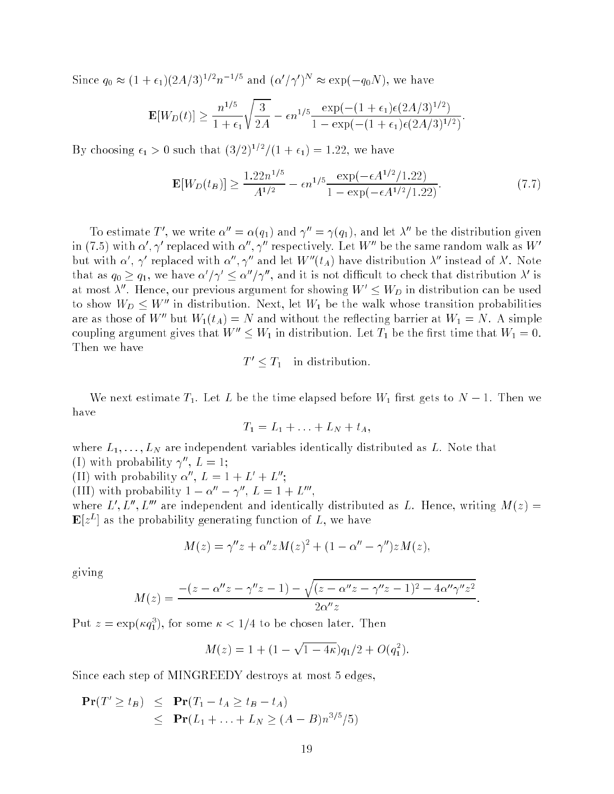Since  $q_0 \approx (1 + \epsilon_1)(2A/3)^{1/2}n^{-1/5}$  and  $({\alpha'}/{\gamma'})^N \approx \exp(-q_0N)$ , we have

$$
\mathbf{E}[W_D(t)] \ge \frac{n^{1/5}}{1+\epsilon_1} \sqrt{\frac{3}{2A}} - \epsilon n^{1/5} \frac{\exp(-(1+\epsilon_1)\epsilon (2A/3)^{1/2})}{1-\exp(-(1+\epsilon_1)\epsilon (2A/3)^{1/2})}.
$$

By choosing  $\epsilon_1 > 0$  such that  $\frac{3}{2}^{1/2}/(1 + \epsilon_1) = 1.22$ , we have

$$
\mathbf{E}[W_D(t_B)] \ge \frac{1.22n^{1/5}}{A^{1/2}} - \epsilon n^{1/5} \frac{\exp(-\epsilon A^{1/2}/1.22)}{1 - \exp(-\epsilon A^{1/2}/1.22)}.
$$
(7.7)

To estimate T, we write  $\alpha' = \alpha(q_1)$  and  $\gamma' = \gamma(q_1)$ , and let  $\lambda'$  be the distribution given III (1.5) with  $\alpha$  ,  $\gamma$  -febiaced with  $\alpha$  ,  $\gamma$  -fespectively. Let  $W$  - be the same random walk as  $W$  but with  $\alpha$  ,  $\gamma$  -replaced with  $\alpha$  ,  $\gamma$  -and let  $w$  -( $t_A$ ) have distribution  $\lambda$  -instead of  $\lambda$  . Note that as  $q_0 \geq q_1$ , we have  $\alpha^*/\gamma^* \leq \alpha^*/\gamma^*$ , and it is not difficult to check that distribution  $\lambda^*$  is at most  $\lambda$  . Hence, our previous argument for showing  $W_-\leq W_D$  in distribution can be used to show  $W_D \leq W''$  in distribution. Next, let  $W_1$  be the walk whose transition probabilities are as those of W'' but  $W_1(t_A) = N$  and without the reflecting barrier at  $W_1 = N$ . A simple coupling argument gives that  $W'' \leq W_1$  in distribution. Let  $T_1$  be the first time that  $W_1 = 0$ . Then we have

$$
T' \leq T_1
$$
 in distribution.

We next estimate  $T_1$ . Let L be the time elapsed before  $W_1$  first gets to  $N-1$ . Then we have

$$
T_1 = L_1 + \ldots + L_N + t_A,
$$

where  $L_1, \ldots, L_N$  are independent variables identically distributed as L. Note that (1) with probability  $\gamma$ ,  $L = 1$ ;

(II) with probability  $\alpha$ ,  $L = 1 + L + L$ ;

(III) with probability  $1 - \alpha - \gamma$ ,  $L = 1 + L$ ,

where  $L$  ,  $L$  ,  $L$  are independent and identically distributed as  $L$ . Hence, writing  $M(z) =$  $\mathbf{E}[z^L]$  as the probability generating function of L, we have

$$
M(z) = \gamma'' z + \alpha'' z M(z)^2 + (1 - \alpha'' - \gamma'') z M(z),
$$

giving

$$
M(z) = \frac{-(z - \alpha''z - \gamma''z - 1) - \sqrt{(z - \alpha''z - \gamma''z - 1)^2 - 4\alpha''\gamma''z^2}}{2\alpha''z}
$$

Put  $z = \exp(\kappa q_1)$ , for some  $\kappa < 1/4$  to be chosen later. Then

$$
M(z) = 1 + (1 - \sqrt{1 - 4\kappa})q_1/2 + O(q_1^2).
$$

Since each step of MINGREEDY destroys at most 5 edges,

$$
\begin{array}{rcl}\n\mathbf{Pr}(T' \geq t_B) & \leq & \mathbf{Pr}(T_1 - t_A \geq t_B - t_A) \\
& \leq & \mathbf{Pr}(L_1 + \ldots + L_N \geq (A - B)n^{3/5}/5)\n\end{array}
$$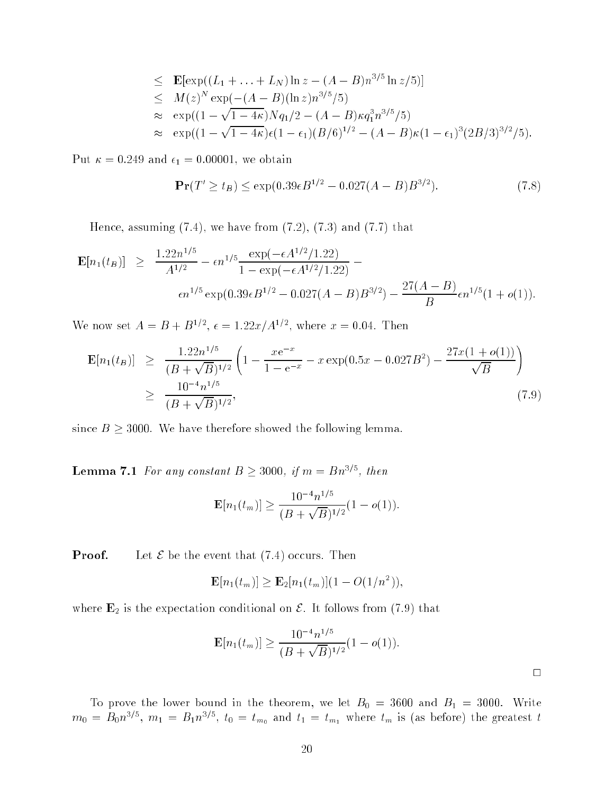$$
\leq \mathbf{E}[\exp((L_1 + ... + L_N)\ln z - (A - B)n^{3/5}\ln z/5)]
$$
  
\n
$$
\leq M(z)^N \exp(-(A - B)(\ln z)n^{3/5}/5)
$$
  
\n
$$
\approx \exp((1 - \sqrt{1 - 4\kappa})Nq_1/2 - (A - B)\kappa q_1^{3}n^{3/5}/5)
$$
  
\n
$$
\approx \exp((1 - \sqrt{1 - 4\kappa})\epsilon(1 - \epsilon_1)(B/6)^{1/2} - (A - B)\kappa(1 - \epsilon_1)^3(2B/3)^{3/2}/5).
$$

Put  $\kappa = 0.249$  and  $\epsilon_1 = 0.00001$ , we obtain

$$
\mathbf{Pr}(T' \ge t_B) \le \exp(0.39\epsilon B^{1/2} - 0.027(A - B)B^{3/2}).\tag{7.8}
$$

Hence, assuming  $(7.4)$ , we have from  $(7.2)$ ,  $(7.3)$  and  $(7.7)$  that

$$
\mathbf{E}[n_1(t_B)] \geq \frac{1.22n^{1/5}}{A^{1/2}} - \epsilon n^{1/5} \frac{\exp(-\epsilon A^{1/2}/1.22)}{1 - \exp(-\epsilon A^{1/2}/1.22)} - \epsilon n^{1/5} \exp(0.39\epsilon B^{1/2} - 0.027(A - B)B^{3/2}) - \frac{27(A - B)}{B} \epsilon n^{1/5} (1 + o(1)).
$$

We now set  $A = B + B^{1/2}$ ,  $\epsilon = 1.22x/A^{1/2}$ , where  $x = 0.04$ . Then

$$
\mathbf{E}[n_1(t_B)] \ge \frac{1.22n^{1/5}}{(B + \sqrt{B})^{1/2}} \left(1 - \frac{xe^{-x}}{1 - e^{-x}} - x \exp(0.5x - 0.027B^2) - \frac{27x(1 + o(1))}{\sqrt{B}}\right)
$$
  
 
$$
\ge \frac{10^{-4}n^{1/5}}{(B + \sqrt{B})^{1/2}},
$$
 (7.9)

since  $B \geq 3000$ . We have therefore showed the following lemma.

**Lemma 7.1** For any constant  $B \geq 3000$ , if  $m = Bn^{3/5}$ , then

$$
\mathbf{E}[n_1(t_m)] \ge \frac{10^{-4}n^{1/5}}{(B + \sqrt{B})^{1/2}}(1 - o(1)).
$$

**Proof.** Let  $\mathcal E$  be the event that (7.4) occurs. Then

$$
\mathbf{E}[n_1(t_m)] \ge \mathbf{E}_2[n_1(t_m)](1 - O(1/n^2)),
$$

where  $\mathbf{E}_2$  is the expectation conditional on  $\mathcal{E}$ . It follows from (7.9) that

$$
\mathbf{E}[n_1(t_m)] \ge \frac{10^{-4}n^{1/5}}{(B + \sqrt{B})^{1/2}}(1 - o(1)).
$$

 $m_0 = B_0 n^{3/5}$ ,  $m_1 = B_1 n^{3/5}$ ,  $t_0 = t_{m_0}$  and  $t_1 = t_{m_1}$  where  $t_m$  is (as before) the greatest t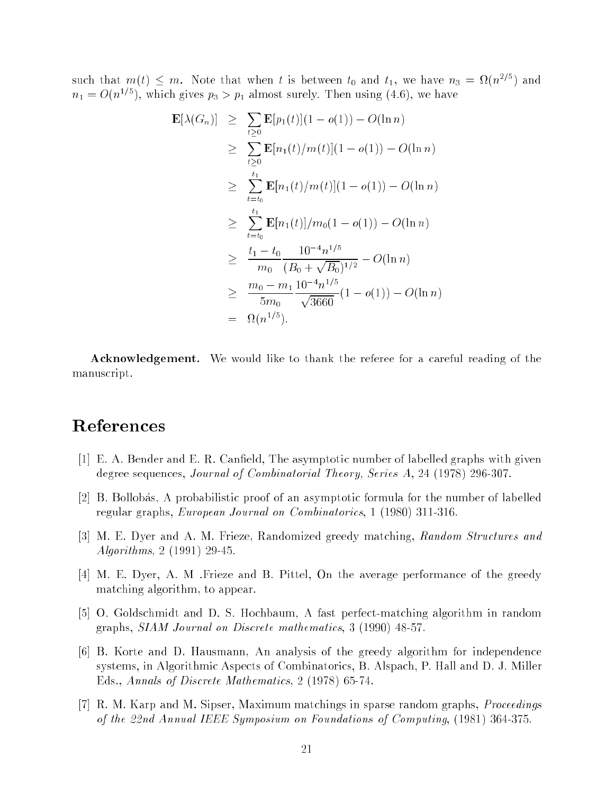such that  $m(t) \leq m$ . Note that when t is between  $t_0$  and  $t_1$ , we have  $n_3 = \Omega(n^{2/5})$  and  $n_1 = O(n^{1/5})$ , which gives  $p_3 > p_1$  almost surely. Then using (4.6), we have

$$
\mathbf{E}[\lambda(G_n)] \geq \sum_{t \geq 0} \mathbf{E}[p_1(t)](1 - o(1)) - O(\ln n)
$$
  
\n
$$
\geq \sum_{t \geq 0} \mathbf{E}[n_1(t)/m(t)](1 - o(1)) - O(\ln n)
$$
  
\n
$$
\geq \sum_{t=t_0}^{t_1} \mathbf{E}[n_1(t)/m(t)](1 - o(1)) - O(\ln n)
$$
  
\n
$$
\geq \sum_{t=t_0}^{t_1} \mathbf{E}[n_1(t)]/m_0(1 - o(1)) - O(\ln n)
$$
  
\n
$$
\geq \frac{t_1 - t_0}{m_0} \frac{10^{-4} n^{1/5}}{(B_0 + \sqrt{B_0})^{1/2}} - O(\ln n)
$$
  
\n
$$
\geq \frac{m_0 - m_1}{5m_0} \frac{10^{-4} n^{1/5}}{\sqrt{3660}} (1 - o(1)) - O(\ln n)
$$
  
\n
$$
= \Omega(n^{1/5}).
$$

Acknowledgement. We would like to thank the referee for a careful reading of the manuscript.

# References

- [1] E. A. Bender and E. R. Canfield, The asymptotic number of labelled graphs with given degree sequences, Journal of Combinatorial Theory, Series A, 24 (1978) 296-307.
- [2] B. Bollobas, A probabilistic proof of an asymptotic formula for the number of labelled regular graphs, European Journal on Combinatorics, 1 (1980) 311-316.
- [3] M. E. Dyer and A. M. Frieze, Randomized greedy matching, Random Structures and Algorithms, 2 (1991) 29-45.
- [4] M. E. Dyer, A. M .Frieze and B. Pittel, On the average performance of the greedy matching algorithm, to appear.
- [5] O. Goldschmidt and D. S. Hochbaum, A fast perfect-matching algorithm in random graphs, SIAM Journal on Discrete mathematics, 3 (1990) 48-57.
- [6] B. Korte and D. Hausmann, An analysis of the greedy algorithm for independence systems, in Algorithmic Aspects of Combinatorics, B. Alspach, P. Hall and D. J. Miller Eds., Annals of Discrete Mathematics, 2 (1978) 65-74.
- [7] R. M. Karp and M. Sipser, Maximum matchings in sparse random graphs, Proceedings of the 22nd Annual IEEE Symposium on Foundations of Computing, (1981) 364-375.